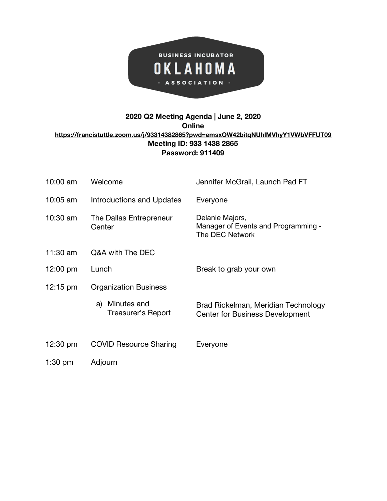

## **2020 Q2 Meeting Agenda | June 2, 2020 Online <https://francistuttle.zoom.us/j/93314382865?pwd=emsxOW42bitqNUhlMVhyY1VWbVFFUT09> Meeting ID: 933 1438 2865 Password: 911409**

| 10:00 am           | Welcome                                 | Jennifer McGrail, Launch Pad FT                                               |  |
|--------------------|-----------------------------------------|-------------------------------------------------------------------------------|--|
| 10:05 am           | Introductions and Updates               | Everyone                                                                      |  |
| 10:30 am           | The Dallas Entrepreneur<br>Center       | Delanie Majors,<br>Manager of Events and Programming -<br>The DEC Network     |  |
| $11:30$ am         | Q&A with The DEC                        |                                                                               |  |
| $12:00 \text{ pm}$ | Lunch                                   | Break to grab your own                                                        |  |
| $12:15 \text{ pm}$ | <b>Organization Business</b>            |                                                                               |  |
|                    | Minutes and<br>a)<br>Treasurer's Report | Brad Rickelman, Meridian Technology<br><b>Center for Business Development</b> |  |
| $12:30 \text{ pm}$ | <b>COVID Resource Sharing</b>           | Everyone                                                                      |  |
| $1:30$ pm          | Adjourn                                 |                                                                               |  |